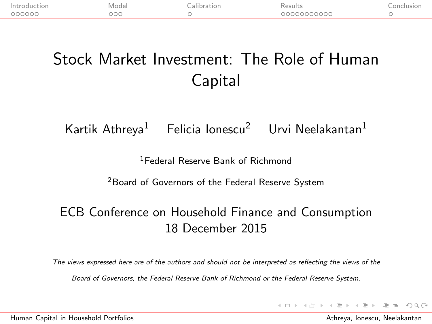| Introduc<br>tion | Mode | 211 | Results<br>. | .onclusion |
|------------------|------|-----|--------------|------------|
| 00000C           | DOC  |     | 00000000000  |            |

## Stock Market Investment: The Role of Human Capital

Kartik Athreya<sup>1</sup> Felicia Ionescu<sup>2</sup> Urvi Neelakantan<sup>1</sup>

<sup>1</sup>Federal Reserve Bank of Richmond

<sup>2</sup>Board of Governors of the Federal Reserve System

#### ECB Conference on Household Finance and Consumption 18 December 2015

The views expressed here are of the authors and should not be interpreted as reflecting the views of the

Board of Governors, the Federal Reserve Bank of Richmond or the Federal Reserve System.

<span id="page-0-0"></span>K ロ > K @ > K ミ > K ミ > (트) = 10 Q Q Q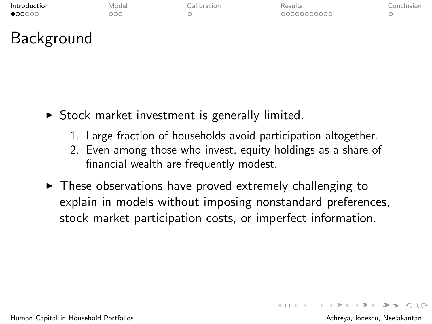| Introd<br>. | ode | . |                 |  |
|-------------|-----|---|-----------------|--|
| 000000      | 000 |   | <u>.0000000</u> |  |
|             |     |   |                 |  |

### <span id="page-1-1"></span>Background

- $\triangleright$  Stock market investment is generally limited.
	- 1. Large fraction of households avoid [participation altogether.](#page-39-0)
	- 2. Even among those who invest, equity holdings as a share of financial wealth are frequently modest.
- <span id="page-1-0"></span> $\triangleright$  These observations have proved extremely challenging to explain in models without imposing nonstandard preferences, stock market participation costs, or imperfect information.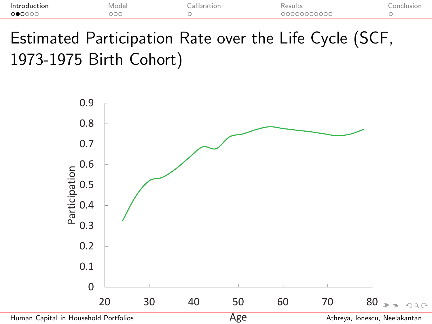| Introduction<br>Mode <sub>r</sub><br>.<br>______ | esults.    |  |
|--------------------------------------------------|------------|--|
| റ≘ററ<br>೨೦೯                                      | 2000000000 |  |

Estimated Participation Rate over the Life Cycle (SCF, 1973-1975 Birth Cohort)



<span id="page-2-0"></span>[Human Capital in Household Portfolios](#page-0-0)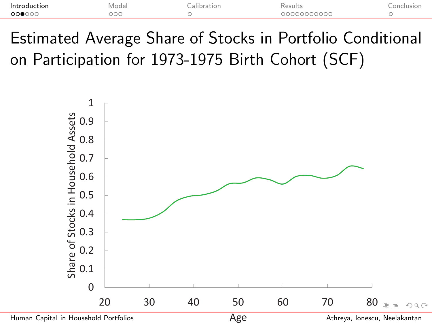| Introduction<br>. | ode.<br>_______ | . |         |  |
|-------------------|-----------------|---|---------|--|
| 00000             | OС              |   | naaaaac |  |
|                   |                 |   |         |  |

Estimated Average Share of Stocks in Portfolio Conditional on Participation for 1973-1975 Birth Cohort (SCF)





<span id="page-3-0"></span>Athreya, Ionescu, Neelakantan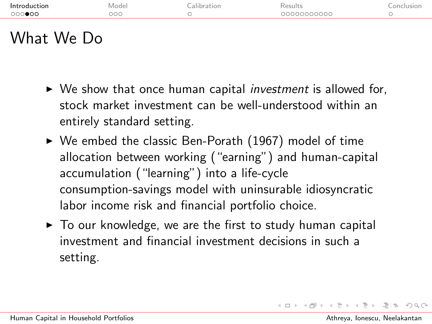| Introduction<br>000000 | Model<br>000 | calibration. | Results<br>00000000000 | Conclusion |
|------------------------|--------------|--------------|------------------------|------------|
| What We<br>הנ          |              |              |                        |            |

- $\triangleright$  We show that once human capital *investment* is allowed for, stock market investment can be well-understood within an entirely standard setting.
- $\triangleright$  We embed the classic Ben-Porath (1967) model of time allocation between working ("earning") and human-capital accumulation ("learning") into a life-cycle consumption-savings model with uninsurable idiosyncratic labor income risk and financial portfolio choice.
- <span id="page-4-0"></span> $\triangleright$  To our knowledge, we are the first to study human capital investment and financial investment decisions in such a setting.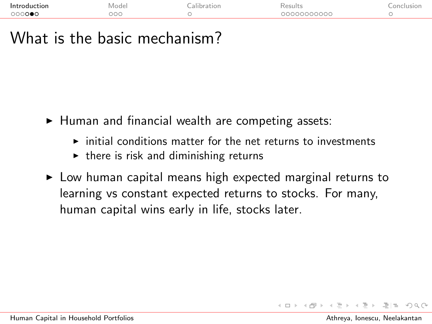| Introduction<br>. | Vlode<br>______ | `as⊔h<br>.        |  |
|-------------------|-----------------|-------------------|--|
| ാററൈ⊜റ            | oor             | 1233000000<br>DOG |  |

## What is the basic mechanism?

- $\blacktriangleright$  Human and financial wealth are competing assets:
	- $\triangleright$  initial conditions matter for the net returns to investments
	- $\triangleright$  there is risk and diminishing returns
- $\triangleright$  Low human capital means high expected marginal returns to learning vs constant expected returns to stocks. For many, human capital wins early in life, stocks later.

 $F = \Omega Q$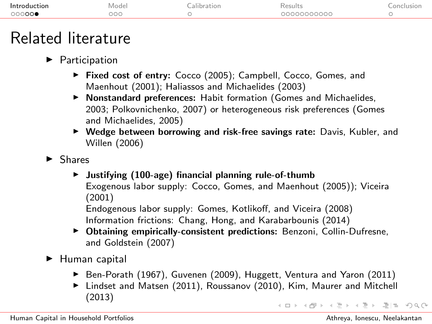| 000000<br>20000000000<br>へへへ<br>200 |  |
|-------------------------------------|--|

## Related literature

#### $\blacktriangleright$  Participation

- ▶ Fixed cost of entry: Cocco (2005); Campbell, Cocco, Gomes, and Maenhout (2001); Haliassos and Michaelides (2003)
- $\triangleright$  Nonstandard preferences: Habit formation (Gomes and Michaelides, 2003; Polkovnichenko, 2007) or heterogeneous risk preferences (Gomes and Michaelides, 2005)
- $\triangleright$  Wedge between borrowing and risk-free savings rate: Davis, Kubler, and Willen (2006)
- $\blacktriangleright$  Shares
	- $\blacktriangleright$  Justifying (100-age) financial planning rule-of-thumb Exogenous labor supply: Cocco, Gomes, and Maenhout (2005)); Viceira (2001)

<span id="page-6-0"></span>Endogenous labor supply: Gomes, Kotlikoff, and Viceira (2008) Information frictions: Chang, Hong, and Karabarbounis (2014)

- **Obtaining empirically-consistent predictions:** Benzoni, Collin-Dufresne, and Goldstein (2007)
- $\blacktriangleright$  Human capital
	- ▶ Ben-Porath (1967), Guvenen (2009), Huggett, Ventura and Yaron (2011)
	- ▶ Lindset and Matsen (2011), Roussanov (2010), Kim, Maurer and Mitchell (2013) KITIK KARA KE KE ELI ANGO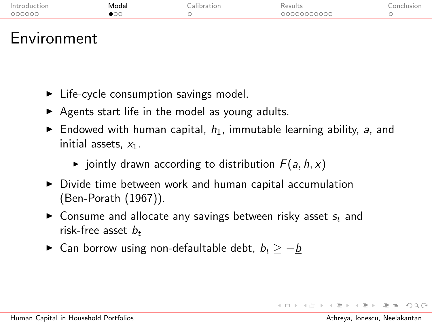| Introduc<br>поп | Model | ີາsults ີ  |  |
|-----------------|-------|------------|--|
| COQOOQ          |       | 0000000000 |  |
|                 |       |            |  |

#### Environment

- $\blacktriangleright$  Life-cycle consumption savings model.
- $\triangleright$  Agents start life in the model as young adults.
- $\blacktriangleright$  Endowed with human capital,  $h_1$ , immutable learning ability, a, and initial assets,  $x_1$ .
	- $\blacktriangleright$  jointly drawn according to distribution  $F(a, h, x)$
- $\triangleright$  Divide time between work and human capital accumulation (Ben-Porath (1967)).
- $\triangleright$  Consume and allocate any savings between risky asset  $s_t$  and risk-free asset  $b_t$
- ► Can borrow using non-defaultable debt,  $b_t > -b$

<span id="page-7-0"></span>マーロー マニューマニュー コーヒー くりのか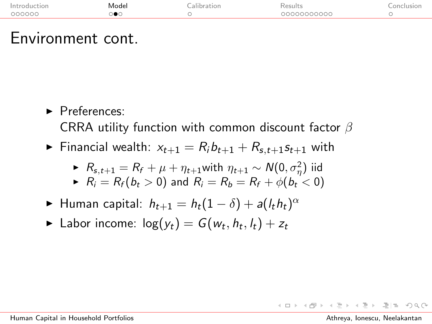| ın<br>ior<br>. | lode. | . |        | _____ |
|----------------|-------|---|--------|-------|
| coopor.        |       |   | つくつくつく |       |
|                |       |   |        |       |

#### Environment cont.

- $\blacktriangleright$  Preferences: CRRA utility function with common discount factor  $\beta$
- Financial wealth:  $x_{t+1} = R_i b_{t+1} + R_{s,t+1} s_{t+1}$  with

$$
R_{s,t+1} = R_f + \mu + \eta_{t+1} \text{with } \eta_{t+1} \sim N(0, \sigma_\eta^2) \text{ iid}
$$

$$
\blacktriangleright R_i = R_f(b_t > 0) \text{ and } R_i = R_b = R_f + \phi(b_t < 0)
$$

- ► Human capital:  $h_{t+1} = h_t(1-\delta) + a(l_t h_t)^{\alpha}$
- $\blacktriangleright$  Labor income:  $\log(y_t) = G(w_t, h_t, l_t) + z_t$

 $\rightarrow$   $\equiv$   $\rightarrow$   $\equiv$   $\equiv$   $\land$   $\land$   $\land$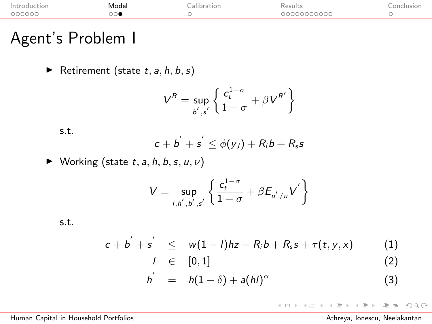| Introdu<br>∵tior | Model | 211 | Results<br>. | 51 0 11 1 |
|------------------|-------|-----|--------------|-----------|
| 00000C           |       |     | ,00000000    |           |

## Agent's Problem I

Retirement (state  $t, a, h, b, s$ )

$$
V^R = \sup_{b',s'} \left\{ \frac{c_t^{1-\sigma}}{1-\sigma} + \beta V^{R'} \right\}
$$

s.t.

$$
c+b^{'}+s^{'}\leq \phi(y_J)+R_i b+R_s s
$$

 $\blacktriangleright$  Working (state t, a, h, b, s, u,  $\nu$ )

$$
V = \underset{l, h', b', s'}{\sup} \left\{ \frac{c_t^{1-\sigma}}{1-\sigma} + \beta E_{u'/u} V' \right\}
$$

s.t.

$$
c + b^{'} + s^{'} \leq w(1 - l)hz + R_i b + R_s s + \tau(t, y, x)
$$
 (1)

$$
l \in [0,1] \tag{2}
$$

$$
h' = h(1-\delta) + a(hI)^{\alpha} \tag{3}
$$

#### (ロ ) ( d) )  $\equiv$  $E|E \cap Q$  $\mathbb{R}^2$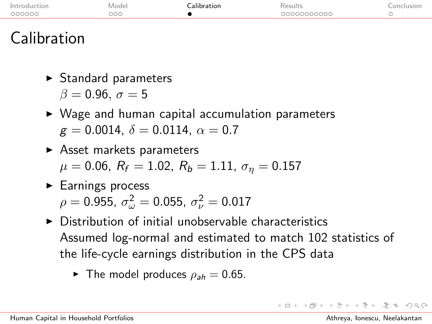| ۱n     | ode<br>______ | . | .      |  |
|--------|---------------|---|--------|--|
| COOOOC | 200           |   | אראראר |  |
|        |               |   |        |  |

## <span id="page-10-1"></span>Calibration

- $\triangleright$  Standard parameters  $\beta = 0.96$ ,  $\sigma = 5$
- $\triangleright$  Wage and human capital accumulation parameters  $g = 0.0014$ ,  $\delta = 0.0114$ ,  $\alpha = 0.7$
- $\blacktriangleright$  Asset markets parameters  $\mu = 0.06$ ,  $R_f = 1.02$ ,  $R_b = 1.11$ ,  $\sigma_\eta = 0.157$
- $\blacktriangleright$  [Earnings process](#page-44-0)  $\rho=$  0.955,  $\sigma_{\omega}^2=$  0.055,  $\sigma_{\nu}^2=$  0.017
- $\triangleright$  [Distribution of initial unobservable characteristics](#page-42-0) Assumed log-normal and estimated to match 102 statistics of the life-cycle earnings distribution in the [CPS data](#page-43-0)
	- $\blacktriangleright$  The model produces  $\rho_{ab} = 0.65$ .

<span id="page-10-0"></span> $\mathcal{A} \oplus \mathcal{A} \oplus \mathcal{A} \oplus \mathcal{A} \oplus \mathcal{A} \oplus \mathcal{A} \oplus \mathcal{A} \oplus \mathcal{A} \oplus \mathcal{A}$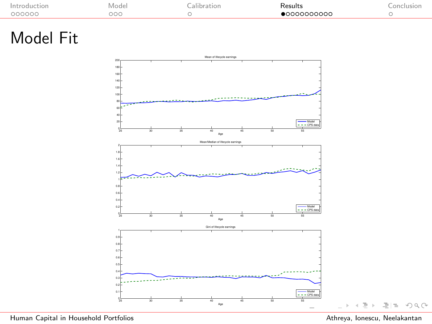|                  |             | . | $\sim$<br>. |  |
|------------------|-------------|---|-------------|--|
| $\cap \cap \cap$ | $\sim$<br>. |   |             |  |
|                  |             |   |             |  |

## Model Fit



[Human Capital in Household Portfolios](#page-0-0) Athreya, Ionescu, Neelakantan

<span id="page-11-0"></span>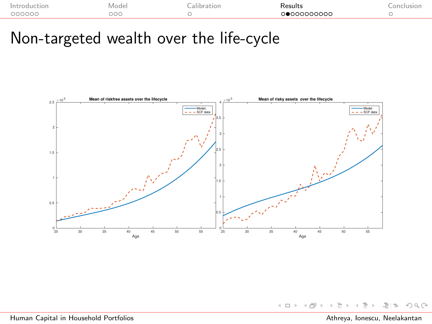| . | ___ | . |
|---|-----|---|
|   |     |   |

## Non-targeted wealth over the life-cycle



 $4.171$ 

[Human Capital in Household Portfolios](#page-0-0) Athreya, Ionescu, Neelakantan

≃

<span id="page-12-0"></span> $Omega \circ \alpha$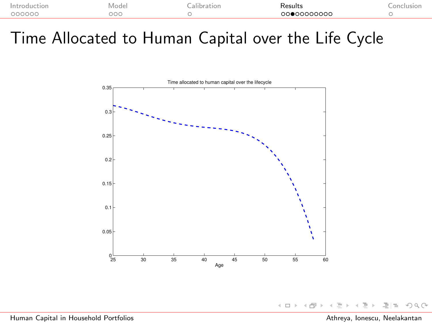| ⊺∩r    | ode<br>VI.<br>______ | . | .         | $\sim$ 12 |
|--------|----------------------|---|-----------|-----------|
| 00000C | DО                   |   | LOOOOOOOO |           |
|        |                      |   |           |           |

Time Allocated to Human Capital over the Life Cycle



 $\leftarrow$   $\Box$   $\rightarrow$ 

 $OQ$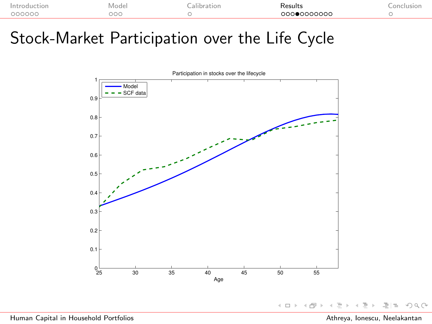|      | Mode | . | $100 - 111$<br>. | $\cap n$ |
|------|------|---|------------------|----------|
| nnnn |      |   | ററററെ<br>n.      |          |
|      |      |   |                  |          |

## Stock-Market Participation over the Life Cycle



 $OQ$  $\leftarrow$   $\Box$   $\rightarrow$ ≃ 르트

[Human Capital in Household Portfolios](#page-0-0) Athreya, Ionescu, Neelakantan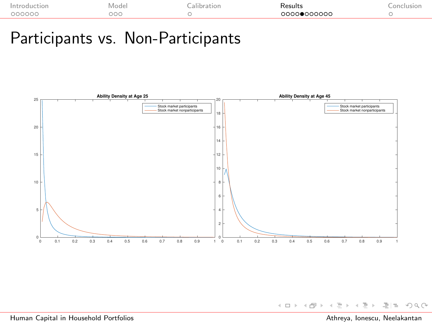| $\sim$ | . |
|--------|---|
| oc     |   |

#### <span id="page-15-0"></span>Participants vs. Non-Participants

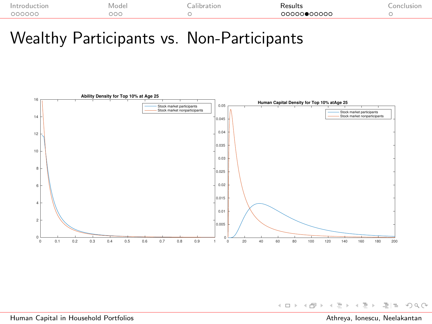| וראו<br>. | n di<br>______ | . | تاء ، صصر ب<br>. | . |
|-----------|----------------|---|------------------|---|
| noon:     | $\sim$<br>٦t   |   | ,0000            |   |
|           |                |   |                  |   |

#### Wealthy Participants vs. Non-Participants



 $\equiv$  $E|E \cap Q \cap Q$ ⋍  $\mathbb{R}^2$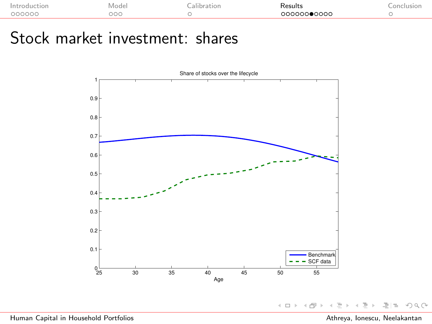| Int<br>:ior | Mode                 | Kesults<br>. | 0n |
|-------------|----------------------|--------------|----|
| -nonooc     | $\sim$ $\sim$<br>UUU | 000000●0000  |    |

### Stock market investment: shares



 $\leftarrow \Box$  ):  $\equiv$  $E|E \cap Q \cap Q$ → ← →  $\triangleleft$ ÷  $\mathbb{R}^2$  $\triangleleft$  $\rightarrow$ 

[Human Capital in Household Portfolios](#page-0-0) Athreya, Ionescu, Neelakantan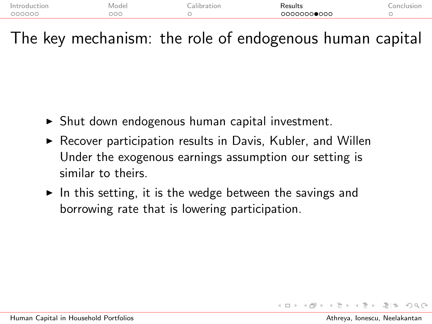| Introduc. | Mode | alıh | Results     | $\cap$ nc |
|-----------|------|------|-------------|-----------|
| . IOD     |      |      | .           | st Cot    |
| 000000    | DOC  |      | 00000000000 |           |

The key mechanism: the role of endogenous human capital

- $\triangleright$  Shut down endogenous human capital investment.
- $\triangleright$  Recover participation results in Davis, Kubler, and Willen Under the exogenous earnings assumption our setting is similar to theirs.
- $\blacktriangleright$  In this setting, it is the wedge between the savings and borrowing rate that is lowering participation.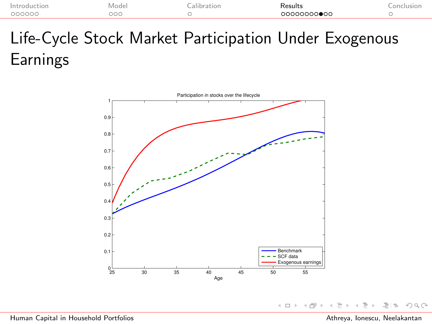| Introduc<br>:ior | ode<br>VI.<br>______ | IOI | Results<br>. | $\cap n$ |
|------------------|----------------------|-----|--------------|----------|
| 000000           | DOC                  |     | 00000000●00  |          |

# Life-Cycle Stock Market Participation Under Exogenous Earnings



 $E|E \cap Q \cap Q$  $\leftarrow$   $\Box$   $\rightarrow$  $\left| \cdot \right|$ 一  $\rightarrow$ ⋍ ∍

[Human Capital in Household Portfolios](#page-0-0) Athreya, Ionescu, Neelakantan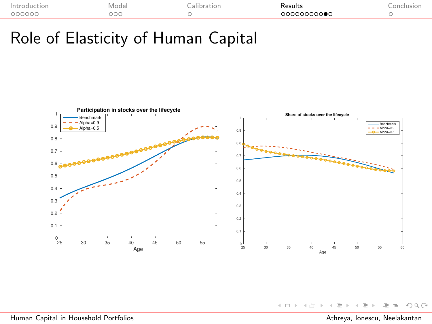| .ior<br>. | od                      | . | يست مصر المستقر<br>. |  |
|-----------|-------------------------|---|----------------------|--|
| nnnnn     | $\sim$<br>JOC<br>$\sim$ |   | ഹാറാറ<br>эc<br>״     |  |

### Role of Elasticity of Human Capital



 $\leftarrow$   $\Box$   $\rightarrow$ 

- 4 - 同一ト  $\triangleleft$ Ξ  $\mathbf{b}$  $\overline{a}$ 

 $\equiv$ **In** 

 $E|E \cap Q \cap Q$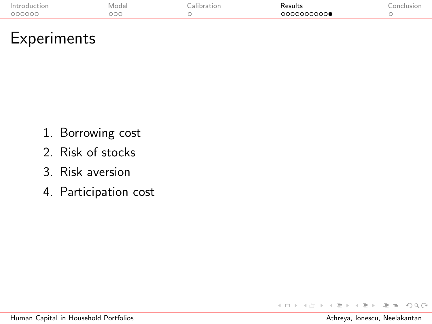| וחו<br>ior<br>. | ______ | . | .               |  |
|-----------------|--------|---|-----------------|--|
| nnnnnr.         | эос    |   | ററററററ <b>∙</b> |  |

#### <span id="page-21-0"></span>Experiments

- 1. [Borrowing cost](#page-26-0)
- 2. [Risk of stocks](#page-28-0)
- 3. [Risk aversion](#page-29-0)
- 4. [Participation cost](#page-30-0)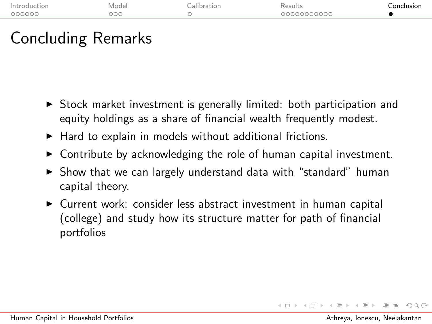| In:    | Mode |     | S<br>. |
|--------|------|-----|--------|
| nnnnnr |      | ാററ |        |
|        |      |     |        |

## Concluding Remarks

- $\triangleright$  Stock market investment is generally limited: both participation and equity holdings as a share of financial wealth frequently modest.
- $\blacktriangleright$  Hard to explain in models without additional frictions.
- $\triangleright$  Contribute by acknowledging the role of human capital investment.
- $\triangleright$  Show that we can largely understand data with "standard" human capital theory.
- <span id="page-22-0"></span>▶ Current work: consider less abstract investment in human capital (college) and study how its structure matter for path of financial portfolios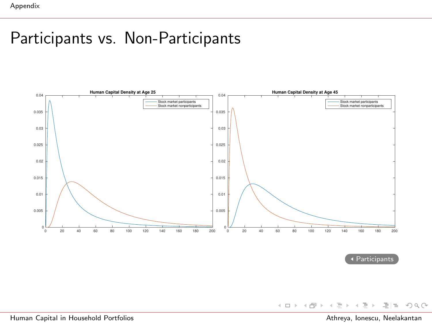## Participants vs. Non-Participants



[Participants](#page-15-0)

[Human Capital in Household Portfolios](#page-0-0) Athreya, Ionescu, Neelakantan

<span id="page-23-0"></span> $E|E \cap Q \cap Q$ 

- ← ロ ▶ → (部 ) → →

 $\equiv$  $\mathbb R$  $\mathcal{A} \cdot \mathcal{B} \Rightarrow$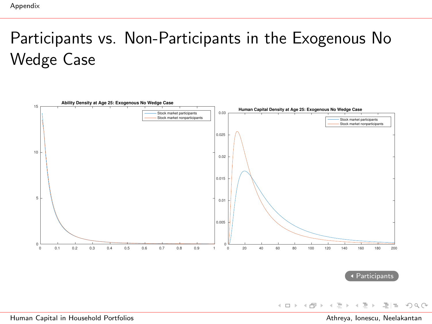# Participants vs. Non-Participants in the Exogenous No Wedge Case



目目 りへい

 $\rightarrow$  $\rightarrow \equiv +$ 

 $\leftarrow$   $\Box$   $\rightarrow$ 

- 4 - 同 ト - 4 E.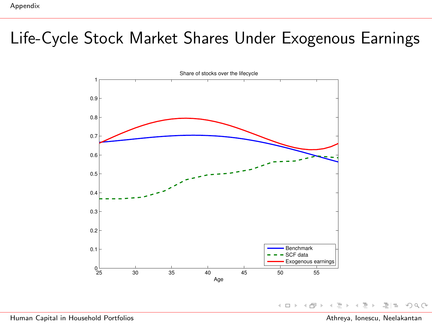## Life-Cycle Stock Market Shares Under Exogenous Earnings



 $\equiv$ 그녀는 다  $OQ$  $\leftarrow$   $\Box$   $\rightarrow$ 

[Human Capital in Household Portfolios](#page-0-0) Athreya, Ionescu, Neelakantan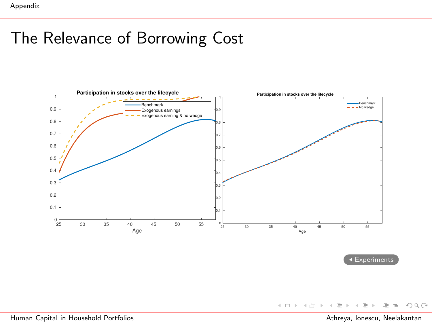## The Relevance of Borrowing Cost

<span id="page-26-0"></span>

[Experiments](#page-21-0)

K ロ > K @ > K ミ > K ミ > (로) = 10 Q Q Q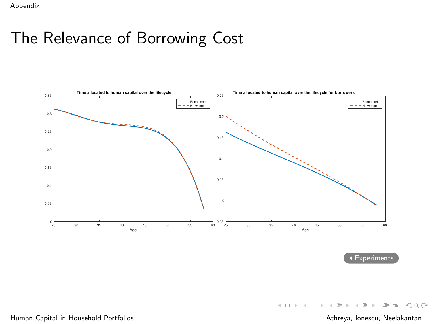## The Relevance of Borrowing Cost



[Experiments](#page-21-0)

[Human Capital in Household Portfolios](#page-0-0) Athreya, Ionescu, Neelakantan

 $E|E \cap Q$ 

ミト - K 重 P

4 ロト 4 伊 ト 4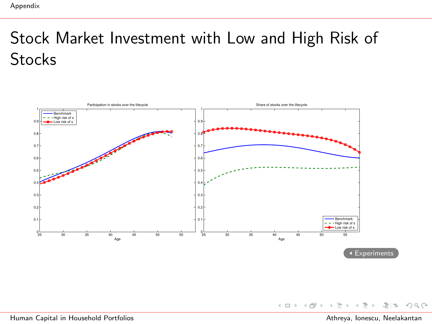# Stock Market Investment with Low and High Risk of **Stocks**

<span id="page-28-0"></span>

K ロ > K @ > K ミ > K ミ > - 트 = 10 00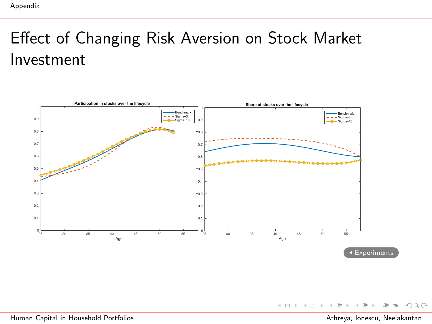## Effect of Changing Risk Aversion on Stock Market Investment

<span id="page-29-0"></span>

[Human Capital in Household Portfolios](#page-0-0) Athreya, Ionescu, Neelakantan

 $\equiv$ 

 $\exists \exists \Rightarrow \land \land \land$ 

 $\leftarrow$   $\Box$   $\rightarrow$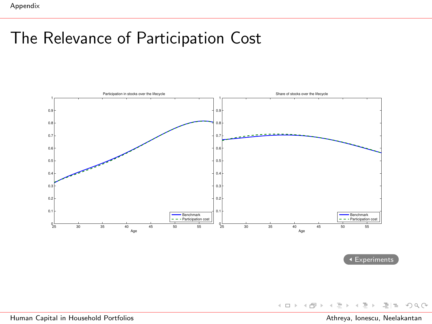## The Relevance of Participation Cost

<span id="page-30-0"></span>

**[Experiments](#page-21-0)** 

[Human Capital in Household Portfolios](#page-0-0) Athreya, Ionescu, Neelakantan

 $E|E \cap Q$ 

 $\mathbb R$  $\rightarrow \equiv +$ 

 $\rightarrow$ ÷

(ロ ) ( d ) →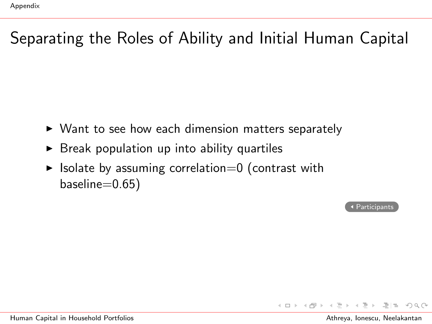## Separating the Roles of Ability and Initial Human Capital

- $\triangleright$  Want to see how each dimension matters separately
- $\triangleright$  Break population up into ability quartiles
- $\blacktriangleright$  Isolate by assuming correlation=0 (contrast with baseline=0.65)

[Participants](#page-15-0)

 $\leftarrow$   $\Box$   $\rightarrow$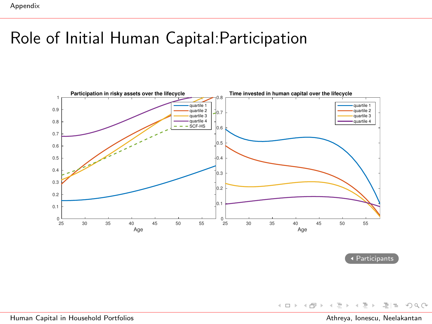## Role of Initial Human Capital:Participation



[Participants](#page-15-0)

[Human Capital in Household Portfolios](#page-0-0) Athreya, Ionescu, Neelakantan

 $E|E \cap Q$ 

イロン イ部ン イミン イミン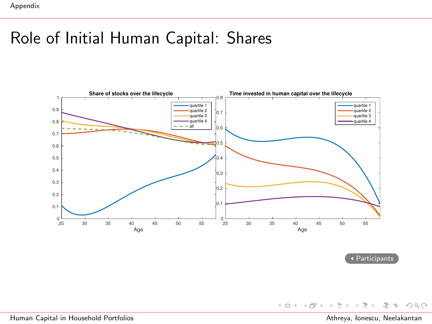## Role of Initial Human Capital: Shares



[Participants](#page-15-0)

[Human Capital in Household Portfolios](#page-0-0) Athreya, Ionescu, Neelakantan

K ロ > K @ > K ミ > K ミ > (로) = 10 Q Q Q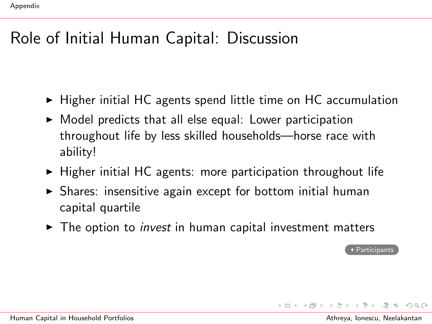## Role of Initial Human Capital: Discussion

- $\blacktriangleright$  Higher initial HC agents spend little time on HC accumulation
- $\triangleright$  Model predicts that all else equal: Lower participation throughout life by less skilled households—horse race with ability!
- $\triangleright$  Higher initial HC agents: more participation throughout life
- $\triangleright$  Shares: insensitive again except for bottom initial human capital quartile
- $\triangleright$  The option to *invest* in human capital investment matters

[Participants](#page-15-0)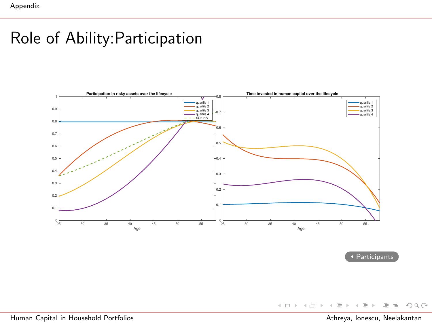### Role of Ability:Participation



[Participants](#page-15-0)

[Human Capital in Household Portfolios](#page-0-0) Athreya, Ionescu, Neelakantan

 $E|E \cap Q$ 

ミド イモド

4 ロト 4 伊 ト 4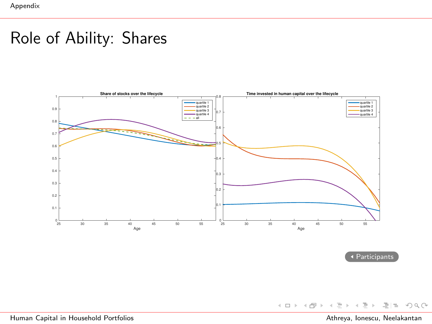## Role of Ability: Shares



[Participants](#page-15-0)

[Human Capital in Household Portfolios](#page-0-0) Athreya, Ionescu, Neelakantan

K ロ > K @ > K ミ > K ミ > - ミ|= Y 9,0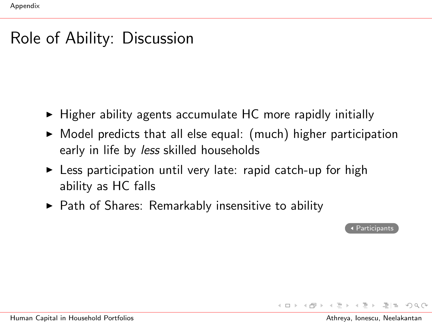#### Role of Ability: Discussion

- $\blacktriangleright$  Higher ability agents accumulate HC more rapidly initially
- $\triangleright$  Model predicts that all else equal: (much) higher participation early in life by *less* skilled households
- $\triangleright$  Less participation until very late: rapid catch-up for high ability as HC falls
- $\triangleright$  Path of Shares: Remarkably insensitive to ability

[Participants](#page-15-0)

→ 伊 → → ミ → → ヨ → ヨ ヨーのA@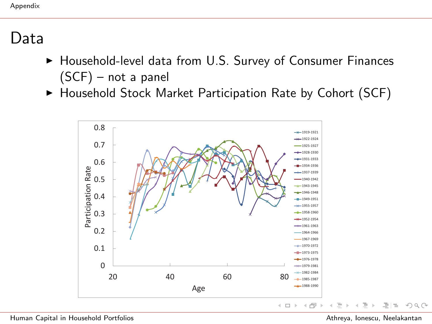#### Data

- $\blacktriangleright$  Household-level data from U.S. Survey of Consumer Finances (SCF) – not a panel
- $\blacktriangleright$  Household Stock Market Participation Rate by Cohort (SCF)



[Human Capital in Household Portfolios](#page-0-0) Athreya, Ionescu, Neelakantan

 $\exists \exists \Rightarrow \land \land \land$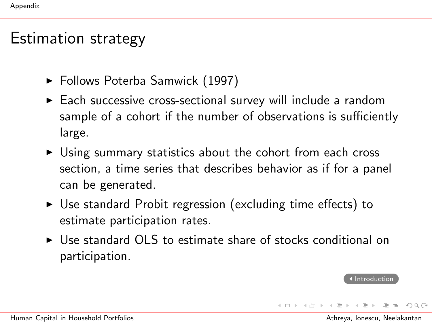#### Estimation strategy

- <span id="page-39-0"></span>► Follows Poterba Samwick (1997)
- $\triangleright$  Each successive cross-sectional survey will include a random sample of a cohort if the number of observations is sufficiently large.
- $\triangleright$  Using summary statistics about the cohort from each cross section, a time series that describes behavior as if for a panel can be generated.
- $\triangleright$  Use standard Probit regression (excluding time effects) to estimate participation rates.
- $\triangleright$  Use standard OLS to estimate share of stocks conditional on participation.

**[Introduction](#page-1-1)**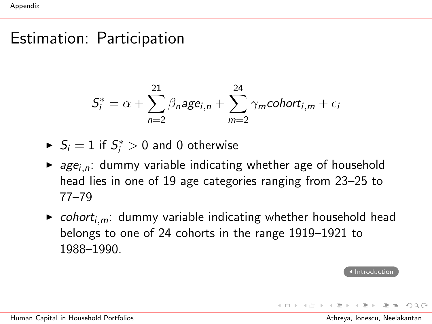#### Estimation: Participation

$$
S_i^* = \alpha + \sum_{n=2}^{21} \beta_n age_{i,n} + \sum_{m=2}^{24} \gamma_m cohort_{i,m} + \epsilon_i
$$

 $\blacktriangleright$   $S_i = 1$  if  $S_i^* > 0$  and 0 otherwise

- $\triangleright$  age<sub>i,n</sub>: dummy variable indicating whether age of household head lies in one of 19 age categories ranging from 23–25 to 77–79
- $\triangleright$  cohort<sub>i,m</sub>: dummy variable indicating whether household head belongs to one of 24 cohorts in the range 1919–1921 to 1988–1990.

**[Introduction](#page-1-1)** 

→ 伊 → → ミ → → ヨ → ヨ ヨー つんぐ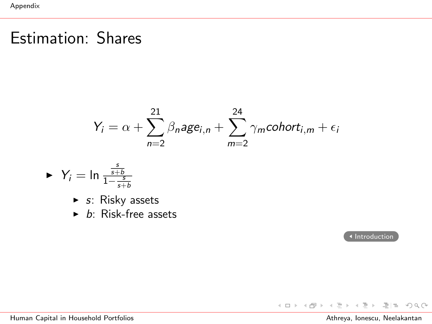## Estimation: Shares

$$
Y_i = \alpha + \sum_{n=2}^{21} \beta_n age_{i,n} + \sum_{m=2}^{24} \gamma_m cohort_{i,m} + \epsilon_i
$$

$$
\blacktriangleright \ \ Y_i = \ln \frac{\frac{s}{s+b}}{1 - \frac{s}{s+b}}
$$

$$
\blacktriangleright
$$
 s: Risky assets

 $\triangleright$  b: Risk-free assets

[Introduction](#page-1-1)

K ロ ▶ K 御 ▶ K 君 ▶ K 君 ▶ [唐] # 19 9 Q @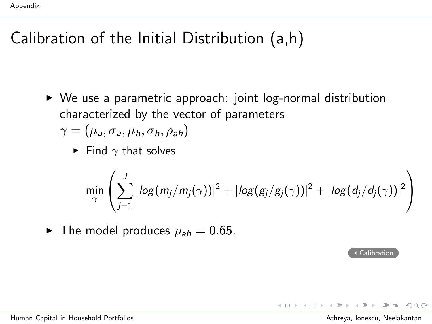## Calibration of the Initial Distribution (a,h)

- <span id="page-42-0"></span> $\triangleright$  We use a parametric approach: joint log-normal distribution characterized by the vector of parameters  $\gamma = (\mu_a, \sigma_a, \mu_b, \sigma_b, \rho_{ab})$ 
	- Find  $\gamma$  that solves

$$
\min_{\gamma} \left( \sum_{j=1}^{J} |log(m_j/m_j(\gamma))|^2 + |log(g_j/g_j(\gamma))|^2 + |log(d_j/d_j(\gamma))|^2 \right)
$$

 $\blacktriangleright$  The model produces  $\rho_{ab} = 0.65$ .

[Calibration](#page-10-1)

 $A \equiv b$   $\equiv$   $\equiv$   $\cap$   $\cap$   $\cap$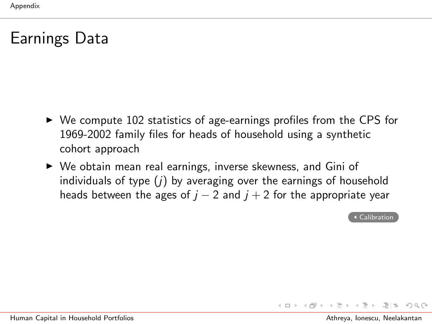## Earnings Data

- <span id="page-43-0"></span> $\triangleright$  We compute 102 statistics of age-earnings profiles from the CPS for 1969-2002 family files for heads of household using a synthetic cohort approach
- $\triangleright$  We obtain mean real earnings, inverse skewness, and Gini of individuals of type  $(j)$  by averaging over the earnings of household heads between the ages of  $j - 2$  and  $j + 2$  for the appropriate year

[Calibration](#page-10-1)

 $E \rightarrow A E + E + A \Omega$